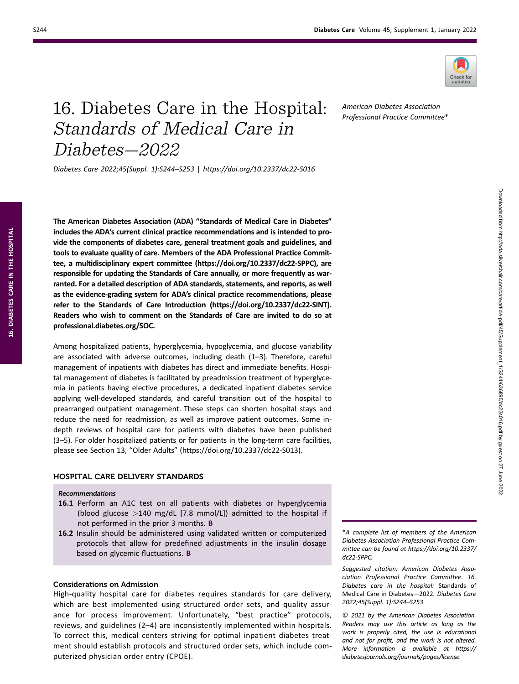

# 16. Diabetes Care in the Hospital: Standards of Medical Care in Diabetes—2022

American Diabetes Association Professional Practice Committee\*

Diabetes Care 2022;45(Suppl. 1):S244–S253 | https://doi.org/10.2337/dc22-S016

The American Diabetes Association (ADA) "Standards of Medical Care in Diabetes" includes the ADA's current clinical practice recommendations and is intended to provide the components of diabetes care, general treatment goals and guidelines, and tools to evaluate quality of care. Members of the ADA Professional Practice Committee, a multidisciplinary expert committee [\(https://doi.org/10.2337/dc22-SPPC](https://doi.org/10.2337/dc22-SPPC)), are responsible for updating the Standards of Care annually, or more frequently as warranted. For a detailed description of ADA standards, statements, and reports, as well as the evidence-grading system for ADA's clinical practice recommendations, please refer to the Standards of Care Introduction [\(https://doi.org/10.2337/dc22-SINT](https://doi.org/10.2337/dc22-SINT)). Readers who wish to comment on the Standards of Care are invited to do so at [professional.diabetes.org/SOC](https://professional.diabetes.org/SOC).

Among hospitalized patients, hyperglycemia, hypoglycemia, and glucose variability are associated with adverse outcomes, including death (1–3). Therefore, careful management of inpatients with diabetes has direct and immediate benefits. Hospital management of diabetes is facilitated by preadmission treatment of hyperglycemia in patients having elective procedures, a dedicated inpatient diabetes service applying well-developed standards, and careful transition out of the hospital to prearranged outpatient management. These steps can shorten hospital stays and reduce the need for readmission, as well as improve patient outcomes. Some indepth reviews of hospital care for patients with diabetes have been published (3–5). For older hospitalized patients or for patients in the long-term care facilities, please see Section 13, "Older Adults" (<https://doi.org/10.2337/dc22-S013>).

### HOSPITAL CARE DELIVERY STANDARDS

#### Recommendations

- 16.1 Perform an A1C test on all patients with diabetes or hyperglycemia (blood glucose  $>140$  mg/dL [7.8 mmol/L]) admitted to the hospital if not performed in the prior 3 months. **B**
- 16.2 Insulin should be administered using validated written or computerized protocols that allow for predefined adjustments in the insulin dosage based on glycemic fluctuations. B

# Considerations on Admission

High-quality hospital care for diabetes requires standards for care delivery, which are best implemented using structured order sets, and quality assurance for process improvement. Unfortunately, "best practice" protocols, reviews, and guidelines (2–4) are inconsistently implemented within hospitals. To correct this, medical centers striving for optimal inpatient diabetes treatment should establish protocols and structured order sets, which include computerized physician order entry (CPOE).

\*A complete list of members of the American Diabetes Association Professional Practice Committee can be found at [https://doi.org/10.2337/](https://doi.org/10.2337/dc22-SPPC) [dc22-SPPC.](https://doi.org/10.2337/dc22-SPPC)

Suggested citation: American Diabetes Association Professional Practice Committee. 16. Diabetes care in the hospital: Standards of Medical Care in Diabetes—2022. Diabetes Care 2022;45(Suppl. 1):S244–S253

© 2021 by the American Diabetes Association. Readers may use this article as long as the work is properly cited, the use is educational and not for profit, and the work is not altered. More information is available at [https://](https://diabetesjournals.org/journals/pages/license) [diabetesjournals.org/journals/pages/license.](https://diabetesjournals.org/journals/pages/license)

16. DIABETES CARE IN THE HOSPITAL

 $\frac{6}{16}$ 

DIABETES CARE IN THE HOSPITAL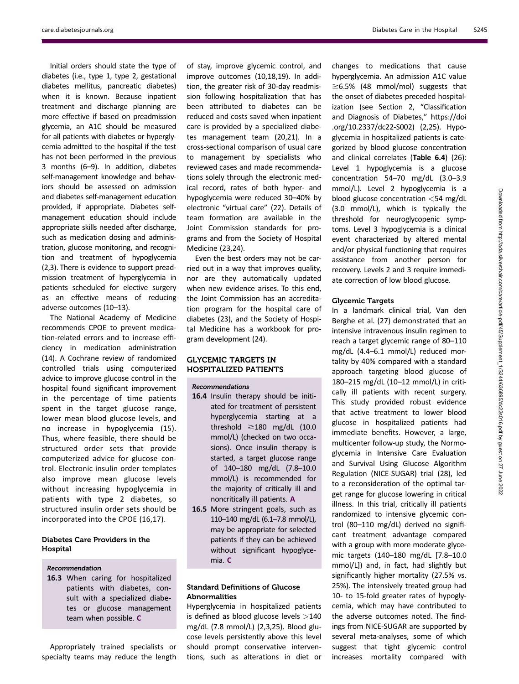Initial orders should state the type of diabetes (i.e., type 1, type 2, gestational diabetes mellitus, pancreatic diabetes) when it is known. Because inpatient treatment and discharge planning are more effective if based on preadmission glycemia, an A1C should be measured for all patients with diabetes or hyperglycemia admitted to the hospital if the test has not been performed in the previous 3 months (6–9). In addition, diabetes self-management knowledge and behaviors should be assessed on admission and diabetes self-management education provided, if appropriate. Diabetes selfmanagement education should include appropriate skills needed after discharge, such as medication dosing and administration, glucose monitoring, and recognition and treatment of hypoglycemia (2,3). There is evidence to support preadmission treatment of hyperglycemia in patients scheduled for elective surgery as an effective means of reducing adverse outcomes (10–13).

The National Academy of Medicine recommends CPOE to prevent medication-related errors and to increase efficiency in medication administration (14). A Cochrane review of randomized controlled trials using computerized advice to improve glucose control in the hospital found significant improvement in the percentage of time patients spent in the target glucose range, lower mean blood glucose levels, and no increase in hypoglycemia (15). Thus, where feasible, there should be structured order sets that provide computerized advice for glucose control. Electronic insulin order templates also improve mean glucose levels without increasing hypoglycemia in patients with type 2 diabetes, so structured insulin order sets should be incorporated into the CPOE (16,17).

# Diabetes Care Providers in the Hospital

## Recommendation

16.3 When caring for hospitalized patients with diabetes, consult with a specialized diabetes or glucose management team when possible. C

Appropriately trained specialists or specialty teams may reduce the length of stay, improve glycemic control, and improve outcomes (10,18,19). In addition, the greater risk of 30-day readmission following hospitalization that has been attributed to diabetes can be reduced and costs saved when inpatient care is provided by a specialized diabetes management team (20,21). In a cross-sectional comparison of usual care to management by specialists who reviewed cases and made recommendations solely through the electronic medical record, rates of both hyper- and hypoglycemia were reduced 30–40% by electronic "virtual care" (22). Details of team formation are available in the Joint Commission standards for programs and from the Society of Hospital Medicine (23,24).

Even the best orders may not be carried out in a way that improves quality, nor are they automatically updated when new evidence arises. To this end, the Joint Commission has an accreditation program for the hospital care of diabetes (23), and the Society of Hospital Medicine has a workbook for program development (24).

# GLYCEMIC TARGETS IN HOSPITALIZED PATIENTS

#### Recommendations

- 16.4 Insulin therapy should be initiated for treatment of persistent hyperglycemia starting at a threshold  $\geq$ 180 mg/dL (10.0 mmol/L) (checked on two occasions). Once insulin therapy is started, a target glucose range of 140–180 mg/dL (7.8–10.0 mmol/L) is recommended for the majority of critically ill and noncritically ill patients. A
- 16.5 More stringent goals, such as 110–140 mg/dL (6.1–7.8 mmol/L), may be appropriate for selected patients if they can be achieved without significant hypoglycemia. C

# Standard Definitions of Glucose Abnormalities

Hyperglycemia in hospitalized patients is defined as blood glucose levels  $>140$ mg/dL (7.8 mmol/L) (2,3,25). Blood glucose levels persistently above this level should prompt conservative interventions, such as alterations in diet or

changes to medications that cause hyperglycemia. An admission A1C value  $\geq$ 6.5% (48 mmol/mol) suggests that the onset of diabetes preceded hospitalization (see Section 2, "Classification and Diagnosis of Diabetes," [https://doi](https://doi.org/10.2337/dc22-S002) [.org/10.2337/dc22-S002\)](https://doi.org/10.2337/dc22-S002) (2,25). Hypoglycemia in hospitalized patients is categorized by blood glucose concentration and clinical correlates (Table 6.4) (26): Level 1 hypoglycemia is a glucose concentration 54–70 mg/dL (3.0–3.9 mmol/L). Level 2 hypoglycemia is a blood glucose concentration <54 mg/dL (3.0 mmol/L), which is typically the threshold for neuroglycopenic symptoms. Level 3 hypoglycemia is a clinical event characterized by altered mental and/or physical functioning that requires assistance from another person for recovery. Levels 2 and 3 require immediate correction of low blood glucose.

#### Glycemic Targets

In a landmark clinical trial, Van den Berghe et al. (27) demonstrated that an intensive intravenous insulin regimen to reach a target glycemic range of 80–110 mg/dL (4.4–6.1 mmol/L) reduced mortality by 40% compared with a standard approach targeting blood glucose of 180–215 mg/dL (10–12 mmol/L) in critically ill patients with recent surgery. This study provided robust evidence that active treatment to lower blood glucose in hospitalized patients had immediate benefits. However, a large, multicenter follow-up study, the Normoglycemia in Intensive Care Evaluation and Survival Using Glucose Algorithm Regulation (NICE-SUGAR) trial (28), led to a reconsideration of the optimal target range for glucose lowering in critical illness. In this trial, critically ill patients randomized to intensive glycemic control (80–110 mg/dL) derived no significant treatment advantage compared with a group with more moderate glycemic targets (140–180 mg/dL [7.8–10.0 mmol/L]) and, in fact, had slightly but significantly higher mortality (27.5% vs. 25%). The intensively treated group had 10- to 15-fold greater rates of hypoglycemia, which may have contributed to the adverse outcomes noted. The findings from NICE-SUGAR are supported by several meta-analyses, some of which suggest that tight glycemic control increases mortality compared with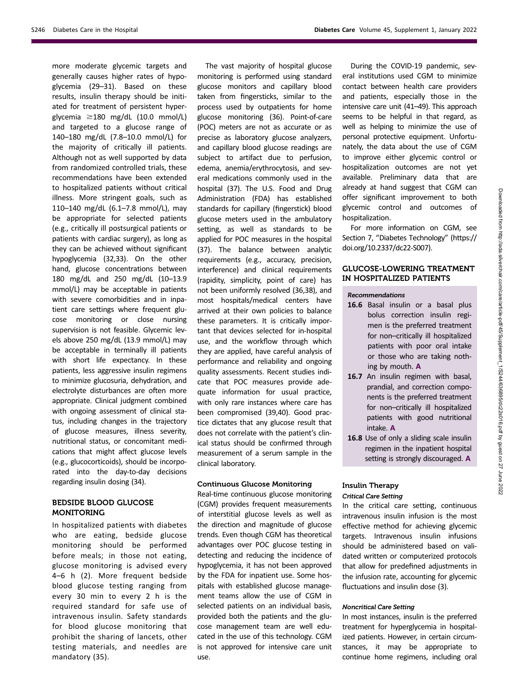more moderate glycemic targets and generally causes higher rates of hypoglycemia (29–31). Based on these results, insulin therapy should be initiated for treatment of persistent hyperglycemia  $\geq$ 180 mg/dL (10.0 mmol/L) and targeted to a glucose range of 140–180 mg/dL (7.8–10.0 mmol/L) for the majority of critically ill patients. Although not as well supported by data from randomized controlled trials, these recommendations have been extended to hospitalized patients without critical illness. More stringent goals, such as 110–140 mg/dL (6.1–7.8 mmol/L), may be appropriate for selected patients (e.g., critically ill postsurgical patients or patients with cardiac surgery), as long as they can be achieved without significant hypoglycemia (32,33). On the other hand, glucose concentrations between 180 mg/dL and 250 mg/dL (10–13.9 mmol/L) may be acceptable in patients with severe comorbidities and in inpatient care settings where frequent glucose monitoring or close nursing supervision is not feasible. Glycemic levels above 250 mg/dL (13.9 mmol/L) may be acceptable in terminally ill patients with short life expectancy. In these patients, less aggressive insulin regimens to minimize glucosuria, dehydration, and electrolyte disturbances are often more appropriate. Clinical judgment combined with ongoing assessment of clinical status, including changes in the trajectory of glucose measures, illness severity, nutritional status, or concomitant medications that might affect glucose levels (e.g., glucocorticoids), should be incorporated into the day-to-day decisions regarding insulin dosing (34).

# BEDSIDE BLOOD GLUCOSE MONITORING

In hospitalized patients with diabetes who are eating, bedside glucose monitoring should be performed before meals; in those not eating, glucose monitoring is advised every 4–6 h (2). More frequent bedside blood glucose testing ranging from every 30 min to every 2 h is the required standard for safe use of intravenous insulin. Safety standards for blood glucose monitoring that prohibit the sharing of lancets, other testing materials, and needles are mandatory (35).

The vast majority of hospital glucose monitoring is performed using standard glucose monitors and capillary blood taken from fingersticks, similar to the process used by outpatients for home glucose monitoring (36). Point-of-care (POC) meters are not as accurate or as precise as laboratory glucose analyzers, and capillary blood glucose readings are subject to artifact due to perfusion, edema, anemia/erythrocytosis, and several medications commonly used in the hospital (37). The U.S. Food and Drug Administration (FDA) has established standards for capillary (fingerstick) blood glucose meters used in the ambulatory setting, as well as standards to be applied for POC measures in the hospital (37). The balance between analytic requirements (e.g., accuracy, precision, interference) and clinical requirements (rapidity, simplicity, point of care) has not been uniformly resolved (36,38), and most hospitals/medical centers have arrived at their own policies to balance these parameters. It is critically important that devices selected for in-hospital use, and the workflow through which they are applied, have careful analysis of performance and reliability and ongoing quality assessments. Recent studies indicate that POC measures provide adequate information for usual practice, with only rare instances where care has been compromised (39,40). Good practice dictates that any glucose result that does not correlate with the patient's clinical status should be confirmed through measurement of a serum sample in the clinical laboratory.

# Continuous Glucose Monitoring

Real-time continuous glucose monitoring (CGM) provides frequent measurements of interstitial glucose levels as well as the direction and magnitude of glucose trends. Even though CGM has theoretical advantages over POC glucose testing in detecting and reducing the incidence of hypoglycemia, it has not been approved by the FDA for inpatient use. Some hospitals with established glucose management teams allow the use of CGM in selected patients on an individual basis, provided both the patients and the glucose management team are well educated in the use of this technology. CGM is not approved for intensive care unit use.

During the COVID-19 pandemic, several institutions used CGM to minimize contact between health care providers and patients, especially those in the intensive care unit (41–49). This approach seems to be helpful in that regard, as well as helping to minimize the use of personal protective equipment. Unfortunately, the data about the use of CGM to improve either glycemic control or hospitalization outcomes are not yet available. Preliminary data that are already at hand suggest that CGM can offer significant improvement to both glycemic control and outcomes of hospitalization.

For more information on CGM, see Section 7, "Diabetes Technology" [\(https://](https://doi.org/10.2337/dc22-S007) [doi.org/10.2337/dc22-S007](https://doi.org/10.2337/dc22-S007)).

# GLUCOSE-LOWERING TREATMENT IN HOSPITALIZED PATIENTS

## Recommendations

- 16.6 Basal insulin or a basal plus bolus correction insulin regimen is the preferred treatment for non–critically ill hospitalized patients with poor oral intake or those who are taking nothing by mouth. A
- 16.7 An insulin regimen with basal, prandial, and correction components is the preferred treatment for non–critically ill hospitalized patients with good nutritional intake. A
- 16.8 Use of only a sliding scale insulin regimen in the inpatient hospital setting is strongly discouraged. A

# Insulin Therapy Critical Care Setting

In the critical care setting, continuous intravenous insulin infusion is the most effective method for achieving glycemic targets. Intravenous insulin infusions should be administered based on validated written or computerized protocols that allow for predefined adjustments in the infusion rate, accounting for glycemic fluctuations and insulin dose (3).

## Noncritical Care Setting

In most instances, insulin is the preferred treatment for hyperglycemia in hospitalized patients. However, in certain circumstances, it may be appropriate to continue home regimens, including oral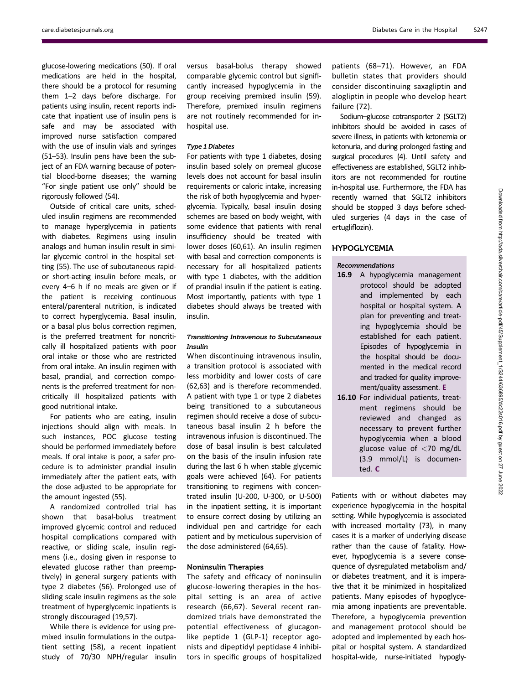glucose-lowering medications (50). If oral medications are held in the hospital, there should be a protocol for resuming them 1–2 days before discharge. For patients using insulin, recent reports indicate that inpatient use of insulin pens is safe and may be associated with improved nurse satisfaction compared with the use of insulin vials and syringes (51–53). Insulin pens have been the subject of an FDA warning because of potential blood-borne diseases; the warning "For single patient use only" should be rigorously followed (54).

Outside of critical care units, scheduled insulin regimens are recommended to manage hyperglycemia in patients with diabetes. Regimens using insulin analogs and human insulin result in similar glycemic control in the hospital setting (55). The use of subcutaneous rapidor short-acting insulin before meals, or every 4–6 h if no meals are given or if the patient is receiving continuous enteral/parenteral nutrition, is indicated to correct hyperglycemia. Basal insulin, or a basal plus bolus correction regimen, is the preferred treatment for noncritically ill hospitalized patients with poor oral intake or those who are restricted from oral intake. An insulin regimen with basal, prandial, and correction components is the preferred treatment for noncritically ill hospitalized patients with good nutritional intake.

For patients who are eating, insulin injections should align with meals. In such instances, POC glucose testing should be performed immediately before meals. If oral intake is poor, a safer procedure is to administer prandial insulin immediately after the patient eats, with the dose adjusted to be appropriate for the amount ingested (55).

A randomized controlled trial has shown that basal-bolus treatment improved glycemic control and reduced hospital complications compared with reactive, or sliding scale, insulin regimens (i.e., dosing given in response to elevated glucose rather than preemptively) in general surgery patients with type 2 diabetes (56). Prolonged use of sliding scale insulin regimens as the sole treatment of hyperglycemic inpatients is strongly discouraged (19,57).

While there is evidence for using premixed insulin formulations in the outpatient setting (58), a recent inpatient study of 70/30 NPH/regular insulin

versus basal-bolus therapy showed comparable glycemic control but significantly increased hypoglycemia in the group receiving premixed insulin (59). Therefore, premixed insulin regimens are not routinely recommended for inhospital use.

#### Type 1 Diabetes

For patients with type 1 diabetes, dosing insulin based solely on premeal glucose levels does not account for basal insulin requirements or caloric intake, increasing the risk of both hypoglycemia and hyperglycemia. Typically, basal insulin dosing schemes are based on body weight, with some evidence that patients with renal insufficiency should be treated with lower doses (60,61). An insulin regimen with basal and correction components is necessary for all hospitalized patients with type 1 diabetes, with the addition of prandial insulin if the patient is eating. Most importantly, patients with type 1 diabetes should always be treated with insulin.

## Transitioning Intravenous to Subcutaneous Insulin

When discontinuing intravenous insulin, a transition protocol is associated with less morbidity and lower costs of care (62,63) and is therefore recommended. A patient with type 1 or type 2 diabetes being transitioned to a subcutaneous regimen should receive a dose of subcutaneous basal insulin 2 h before the intravenous infusion is discontinued. The dose of basal insulin is best calculated on the basis of the insulin infusion rate during the last 6 h when stable glycemic goals were achieved (64). For patients transitioning to regimens with concentrated insulin (U-200, U-300, or U-500) in the inpatient setting, it is important to ensure correct dosing by utilizing an individual pen and cartridge for each patient and by meticulous supervision of the dose administered (64,65).

## Noninsulin Therapies

The safety and efficacy of noninsulin glucose-lowering therapies in the hospital setting is an area of active research (66,67). Several recent randomized trials have demonstrated the potential effectiveness of glucagonlike peptide 1 (GLP-1) receptor agonists and dipeptidyl peptidase 4 inhibitors in specific groups of hospitalized

patients (68–71). However, an FDA bulletin states that providers should consider discontinuing saxagliptin and alogliptin in people who develop heart failure (72).

Sodium–glucose cotransporter 2 (SGLT2) inhibitors should be avoided in cases of severe illness, in patients with ketonemia or ketonuria, and during prolonged fasting and surgical procedures (4). Until safety and effectiveness are established, SGLT2 inhibitors are not recommended for routine in-hospital use. Furthermore, the FDA has recently warned that SGLT2 inhibitors should be stopped 3 days before scheduled surgeries (4 days in the case of ertugliflozin).

#### HYPOGLYCEMIA

#### Recommendations

- 16.9 A hypoglycemia management protocol should be adopted and implemented by each hospital or hospital system. A plan for preventing and treating hypoglycemia should be established for each patient. Episodes of hypoglycemia in the hospital should be documented in the medical record and tracked for quality improvement/quality assessment. E
- 16.10 For individual patients, treatment regimens should be reviewed and changed as necessary to prevent further hypoglycemia when a blood glucose value of <70 mg/dL (3.9 mmol/L) is documented. C

Patients with or without diabetes may experience hypoglycemia in the hospital setting. While hypoglycemia is associated with increased mortality (73), in many cases it is a marker of underlying disease rather than the cause of fatality. However, hypoglycemia is a severe consequence of dysregulated metabolism and/ or diabetes treatment, and it is imperative that it be minimized in hospitalized patients. Many episodes of hypoglycemia among inpatients are preventable. Therefore, a hypoglycemia prevention and management protocol should be adopted and implemented by each hospital or hospital system. A standardized hospital-wide, nurse-initiated hypogly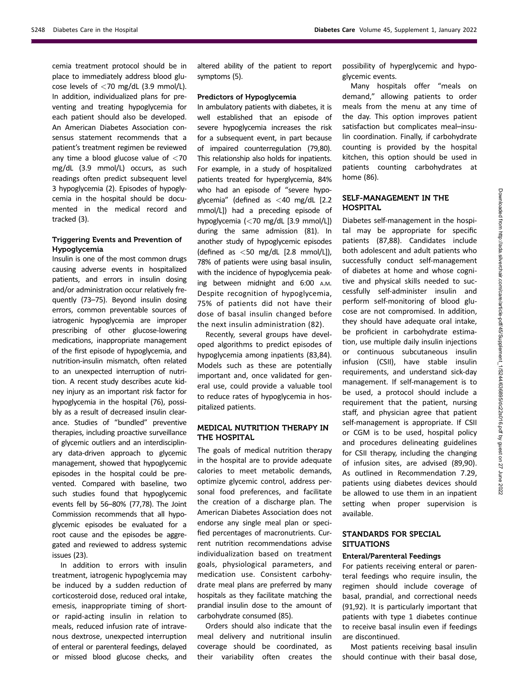cemia treatment protocol should be in place to immediately address blood glucose levels of  $<$ 70 mg/dL (3.9 mmol/L). In addition, individualized plans for preventing and treating hypoglycemia for each patient should also be developed. An American Diabetes Association consensus statement recommends that a patient's treatment regimen be reviewed any time a blood glucose value of <70 mg/dL (3.9 mmol/L) occurs, as such readings often predict subsequent level 3 hypoglycemia (2). Episodes of hypoglycemia in the hospital should be documented in the medical record and tracked (3).

# Triggering Events and Prevention of Hypoglycemia

Insulin is one of the most common drugs causing adverse events in hospitalized patients, and errors in insulin dosing and/or administration occur relatively frequently (73–75). Beyond insulin dosing errors, common preventable sources of iatrogenic hypoglycemia are improper prescribing of other glucose-lowering medications, inappropriate management of the first episode of hypoglycemia, and nutrition-insulin mismatch, often related to an unexpected interruption of nutrition. A recent study describes acute kidney injury as an important risk factor for hypoglycemia in the hospital (76), possibly as a result of decreased insulin clearance. Studies of "bundled" preventive therapies, including proactive surveillance of glycemic outliers and an interdisciplinary data-driven approach to glycemic management, showed that hypoglycemic episodes in the hospital could be prevented. Compared with baseline, two such studies found that hypoglycemic events fell by 56–80% (77,78). The Joint Commission recommends that all hypoglycemic episodes be evaluated for a root cause and the episodes be aggregated and reviewed to address systemic issues (23).

In addition to errors with insulin treatment, iatrogenic hypoglycemia may be induced by a sudden reduction of corticosteroid dose, reduced oral intake, emesis, inappropriate timing of shortor rapid-acting insulin in relation to meals, reduced infusion rate of intravenous dextrose, unexpected interruption of enteral or parenteral feedings, delayed or missed blood glucose checks, and

altered ability of the patient to report symptoms (5).

## Predictors of Hypoglycemia

In ambulatory patients with diabetes, it is well established that an episode of severe hypoglycemia increases the risk for a subsequent event, in part because of impaired counterregulation (79,80). This relationship also holds for inpatients. For example, in a study of hospitalized patients treated for hyperglycemia, 84% who had an episode of "severe hypoglycemia" (defined as  $<$  40 mg/dL [2.2 mmol/L]) had a preceding episode of hypoglycemia (<70 mg/dL [3.9 mmol/L]) during the same admission (81). In another study of hypoglycemic episodes (defined as  $<$ 50 mg/dL [2.8 mmol/L]), 78% of patients were using basal insulin, with the incidence of hypoglycemia peaking between midnight and 6:00 A.M. Despite recognition of hypoglycemia, 75% of patients did not have their dose of basal insulin changed before the next insulin administration (82).

Recently, several groups have developed algorithms to predict episodes of hypoglycemia among inpatients (83,84). Models such as these are potentially important and, once validated for general use, could provide a valuable tool to reduce rates of hypoglycemia in hospitalized patients.

# MEDICAL NUTRITION THERAPY IN THE HOSPITAL

The goals of medical nutrition therapy in the hospital are to provide adequate calories to meet metabolic demands, optimize glycemic control, address personal food preferences, and facilitate the creation of a discharge plan. The American Diabetes Association does not endorse any single meal plan or specified percentages of macronutrients. Current nutrition recommendations advise individualization based on treatment goals, physiological parameters, and medication use. Consistent carbohydrate meal plans are preferred by many hospitals as they facilitate matching the prandial insulin dose to the amount of carbohydrate consumed (85).

Orders should also indicate that the meal delivery and nutritional insulin coverage should be coordinated, as their variability often creates the

possibility of hyperglycemic and hypoglycemic events.

Many hospitals offer "meals on demand," allowing patients to order meals from the menu at any time of the day. This option improves patient satisfaction but complicates meal–insulin coordination. Finally, if carbohydrate counting is provided by the hospital kitchen, this option should be used in patients counting carbohydrates at home (86).

# SELF-MANAGEMENT IN THE **HOSPITAL**

Diabetes self-management in the hospital may be appropriate for specific patients (87,88). Candidates include both adolescent and adult patients who successfully conduct self-management of diabetes at home and whose cognitive and physical skills needed to successfully self-administer insulin and perform self-monitoring of blood glucose are not compromised. In addition, they should have adequate oral intake, be proficient in carbohydrate estimation, use multiple daily insulin injections or continuous subcutaneous insulin infusion (CSII), have stable insulin requirements, and understand sick-day management. If self-management is to be used, a protocol should include a requirement that the patient, nursing staff, and physician agree that patient self-management is appropriate. If CSII or CGM is to be used, hospital policy and procedures delineating guidelines for CSII therapy, including the changing of infusion sites, are advised (89,90). As outlined in Recommendation 7.29, patients using diabetes devices should be allowed to use them in an inpatient setting when proper supervision is available.

# STANDARDS FOR SPECIAL SITUATIONS

# Enteral/Parenteral Feedings

For patients receiving enteral or parenteral feedings who require insulin, the regimen should include coverage of basal, prandial, and correctional needs (91,92). It is particularly important that patients with type 1 diabetes continue to receive basal insulin even if feedings are discontinued.

Most patients receiving basal insulin should continue with their basal dose,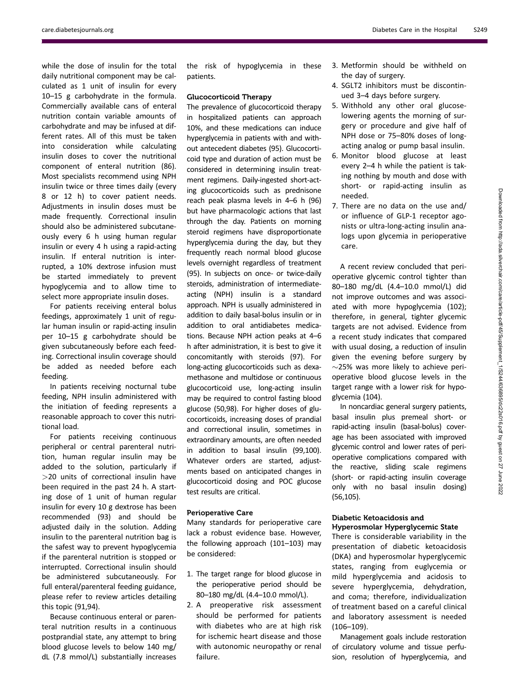while the dose of insulin for the total daily nutritional component may be calculated as 1 unit of insulin for every 10–15 g carbohydrate in the formula. Commercially available cans of enteral nutrition contain variable amounts of carbohydrate and may be infused at different rates. All of this must be taken into consideration while calculating insulin doses to cover the nutritional component of enteral nutrition (86). Most specialists recommend using NPH insulin twice or three times daily (every 8 or 12 h) to cover patient needs. Adjustments in insulin doses must be made frequently. Correctional insulin should also be administered subcutaneously every 6 h using human regular insulin or every 4 h using a rapid-acting insulin. If enteral nutrition is interrupted, a 10% dextrose infusion must be started immediately to prevent hypoglycemia and to allow time to select more appropriate insulin doses.

For patients receiving enteral bolus feedings, approximately 1 unit of regular human insulin or rapid-acting insulin per 10–15 g carbohydrate should be given subcutaneously before each feeding. Correctional insulin coverage should be added as needed before each feeding.

In patients receiving nocturnal tube feeding, NPH insulin administered with the initiation of feeding represents a reasonable approach to cover this nutritional load.

For patients receiving continuous peripheral or central parenteral nutrition, human regular insulin may be added to the solution, particularly if >20 units of correctional insulin have been required in the past 24 h. A starting dose of 1 unit of human regular insulin for every 10 g dextrose has been recommended (93) and should be adjusted daily in the solution. Adding insulin to the parenteral nutrition bag is the safest way to prevent hypoglycemia if the parenteral nutrition is stopped or interrupted. Correctional insulin should be administered subcutaneously. For full enteral/parenteral feeding guidance, please refer to review articles detailing this topic (91,94).

Because continuous enteral or parenteral nutrition results in a continuous postprandial state, any attempt to bring blood glucose levels to below 140 mg/ dL (7.8 mmol/L) substantially increases

the risk of hypoglycemia in these patients.

# Glucocorticoid Therapy

The prevalence of glucocorticoid therapy in hospitalized patients can approach 10%, and these medications can induce hyperglycemia in patients with and without antecedent diabetes (95). Glucocorticoid type and duration of action must be considered in determining insulin treatment regimens. Daily-ingested short-acting glucocorticoids such as prednisone reach peak plasma levels in 4–6 h (96) but have pharmacologic actions that last through the day. Patients on morning steroid regimens have disproportionate hyperglycemia during the day, but they frequently reach normal blood glucose levels overnight regardless of treatment (95). In subjects on once- or twice-daily steroids, administration of intermediateacting (NPH) insulin is a standard approach. NPH is usually administered in addition to daily basal-bolus insulin or in addition to oral antidiabetes medications. Because NPH action peaks at 4–6 h after administration, it is best to give it concomitantly with steroids (97). For long-acting glucocorticoids such as dexamethasone and multidose or continuous glucocorticoid use, long-acting insulin may be required to control fasting blood glucose (50,98). For higher doses of glucocorticoids, increasing doses of prandial and correctional insulin, sometimes in extraordinary amounts, are often needed in addition to basal insulin (99,100). Whatever orders are started, adjustments based on anticipated changes in glucocorticoid dosing and POC glucose test results are critical.

## Perioperative Care

Many standards for perioperative care lack a robust evidence base. However, the following approach (101–103) may be considered:

- 1. The target range for blood glucose in the perioperative period should be 80–180 mg/dL (4.4–10.0 mmol/L).
- 2. A preoperative risk assessment should be performed for patients with diabetes who are at high risk for ischemic heart disease and those with autonomic neuropathy or renal failure.
- 3. Metformin should be withheld on the day of surgery.
- 4. SGLT2 inhibitors must be discontinued 3–4 days before surgery.
- 5. Withhold any other oral glucoselowering agents the morning of surgery or procedure and give half of NPH dose or 75–80% doses of longacting analog or pump basal insulin.
- 6. Monitor blood glucose at least every 2–4 h while the patient is taking nothing by mouth and dose with short- or rapid-acting insulin as needed.
- 7. There are no data on the use and/ or influence of GLP-1 receptor agonists or ultra-long-acting insulin analogs upon glycemia in perioperative care.

A recent review concluded that perioperative glycemic control tighter than 80–180 mg/dL (4.4–10.0 mmol/L) did not improve outcomes and was associated with more hypoglycemia (102); therefore, in general, tighter glycemic targets are not advised. Evidence from a recent study indicates that compared with usual dosing, a reduction of insulin given the evening before surgery by  $\sim$ 25% was more likely to achieve perioperative blood glucose levels in the target range with a lower risk for hypoglycemia (104).

In noncardiac general surgery patients, basal insulin plus premeal short- or rapid-acting insulin (basal-bolus) coverage has been associated with improved glycemic control and lower rates of perioperative complications compared with the reactive, sliding scale regimens (short- or rapid-acting insulin coverage only with no basal insulin dosing) (56,105).

# Diabetic Ketoacidosis and Hyperosmolar Hyperglycemic State

There is considerable variability in the presentation of diabetic ketoacidosis (DKA) and hyperosmolar hyperglycemic states, ranging from euglycemia or mild hyperglycemia and acidosis to severe hyperglycemia, dehydration, and coma; therefore, individualization of treatment based on a careful clinical and laboratory assessment is needed (106–109).

Management goals include restoration of circulatory volume and tissue perfusion, resolution of hyperglycemia, and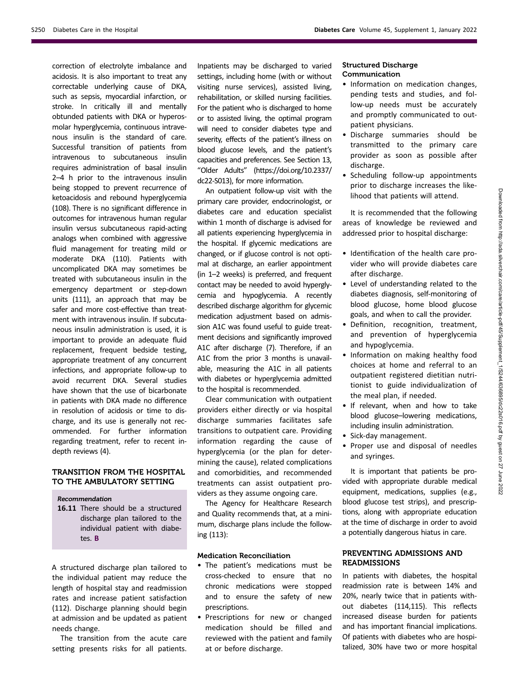correction of electrolyte imbalance and acidosis. It is also important to treat any correctable underlying cause of DKA, such as sepsis, myocardial infarction, or stroke. In critically ill and mentally obtunded patients with DKA or hyperosmolar hyperglycemia, continuous intravenous insulin is the standard of care. Successful transition of patients from intravenous to subcutaneous insulin requires administration of basal insulin 2–4 h prior to the intravenous insulin being stopped to prevent recurrence of ketoacidosis and rebound hyperglycemia (108). There is no significant difference in outcomes for intravenous human regular insulin versus subcutaneous rapid-acting analogs when combined with aggressive fluid management for treating mild or moderate DKA (110). Patients with uncomplicated DKA may sometimes be treated with subcutaneous insulin in the emergency department or step-down units (111), an approach that may be safer and more cost-effective than treatment with intravenous insulin. If subcutaneous insulin administration is used, it is important to provide an adequate fluid replacement, frequent bedside testing, appropriate treatment of any concurrent infections, and appropriate follow-up to avoid recurrent DKA. Several studies have shown that the use of bicarbonate in patients with DKA made no difference in resolution of acidosis or time to discharge, and its use is generally not recommended. For further information regarding treatment, refer to recent indepth reviews (4).

# TRANSITION FROM THE HOSPITAL TO THE AMBULATORY SETTING

Recommendation

16.11 There should be a structured discharge plan tailored to the individual patient with diabetes. B

A structured discharge plan tailored to the individual patient may reduce the length of hospital stay and readmission rates and increase patient satisfaction (112). Discharge planning should begin at admission and be updated as patient needs change.

The transition from the acute care setting presents risks for all patients. Inpatients may be discharged to varied settings, including home (with or without visiting nurse services), assisted living, rehabilitation, or skilled nursing facilities. For the patient who is discharged to home or to assisted living, the optimal program will need to consider diabetes type and severity, effects of the patient's illness on blood glucose levels, and the patient's capacities and preferences. See Section 13, "Older Adults" [\(https://doi.org/10.2337/](https://doi.org/10.2337/dc22-S013) [dc22-S013\)](https://doi.org/10.2337/dc22-S013), for more information.

An outpatient follow-up visit with the primary care provider, endocrinologist, or diabetes care and education specialist within 1 month of discharge is advised for all patients experiencing hyperglycemia in the hospital. If glycemic medications are changed, or if glucose control is not optimal at discharge, an earlier appointment (in 1–2 weeks) is preferred, and frequent contact may be needed to avoid hyperglycemia and hypoglycemia. A recently described discharge algorithm for glycemic medication adjustment based on admission A1C was found useful to guide treatment decisions and significantly improved A1C after discharge (7). Therefore, if an A1C from the prior 3 months is unavailable, measuring the A1C in all patients with diabetes or hyperglycemia admitted to the hospital is recommended.

Clear communication with outpatient providers either directly or via hospital discharge summaries facilitates safe transitions to outpatient care. Providing information regarding the cause of hyperglycemia (or the plan for determining the cause), related complications and comorbidities, and recommended treatments can assist outpatient providers as they assume ongoing care.

The Agency for Healthcare Research and Quality recommends that, at a minimum, discharge plans include the following (113):

#### Medication Reconciliation

- The patient's medications must be cross-checked to ensure that no chronic medications were stopped and to ensure the safety of new prescriptions.
- Prescriptions for new or changed medication should be filled and reviewed with the patient and family at or before discharge.

# Structured Discharge Communication

- Information on medication changes, pending tests and studies, and follow-up needs must be accurately and promptly communicated to outpatient physicians.
- Discharge summaries should be transmitted to the primary care provider as soon as possible after discharge.
- Scheduling follow-up appointments prior to discharge increases the likelihood that patients will attend.

It is recommended that the following areas of knowledge be reviewed and addressed prior to hospital discharge:

- Identification of the health care provider who will provide diabetes care after discharge.
- Level of understanding related to the diabetes diagnosis, self-monitoring of blood glucose, home blood glucose goals, and when to call the provider.
- Definition, recognition, treatment, and prevention of hyperglycemia and hypoglycemia.
- Information on making healthy food choices at home and referral to an outpatient registered dietitian nutritionist to guide individualization of the meal plan, if needed.
- If relevant, when and how to take blood glucose–lowering medications, including insulin administration.
- Sick-day management.
- Proper use and disposal of needles and syringes.

It is important that patients be provided with appropriate durable medical equipment, medications, supplies (e.g., blood glucose test strips), and prescriptions, along with appropriate education at the time of discharge in order to avoid a potentially dangerous hiatus in care.

# PREVENTING ADMISSIONS AND READMISSIONS

In patients with diabetes, the hospital readmission rate is between 14% and 20%, nearly twice that in patients without diabetes (114,115). This reflects increased disease burden for patients and has important financial implications. Of patients with diabetes who are hospitalized, 30% have two or more hospital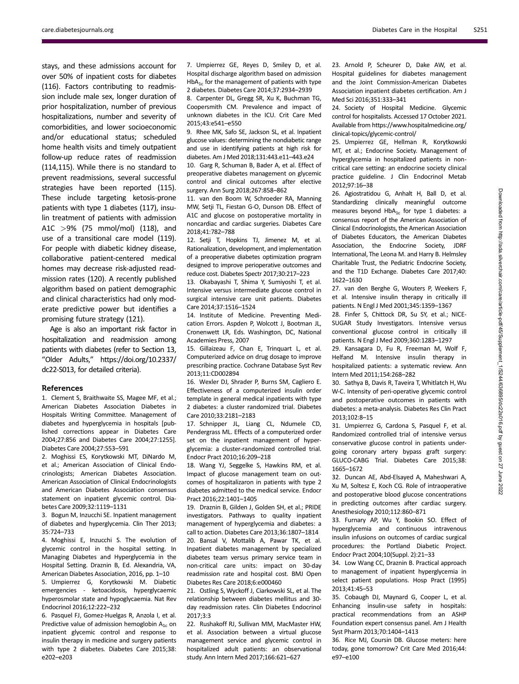stays, and these admissions account for over 50% of inpatient costs for diabetes (116). Factors contributing to readmission include male sex, longer duration of prior hospitalization, number of previous hospitalizations, number and severity of comorbidities, and lower socioeconomic and/or educational status; scheduled home health visits and timely outpatient follow-up reduce rates of readmission (114,115). While there is no standard to prevent readmissions, several successful strategies have been reported (115). These include targeting ketosis-prone patients with type 1 diabetes (117), insulin treatment of patients with admission A1C >9% (75 mmol/mol) (118), and use of a transitional care model (119). For people with diabetic kidney disease, collaborative patient-centered medical homes may decrease risk-adjusted readmission rates (120). A recently published algorithm based on patient demographic and clinical characteristics had only moderate predictive power but identifies a promising future strategy (121).

Age is also an important risk factor in hospitalization and readmission among patients with diabetes (refer to Section 13, "Older Adults," [https://doi.org/10.2337/](https://doi.org/10.2337/dc22-S013) [dc22-S013,](https://doi.org/10.2337/dc22-S013) for detailed criteria).

#### References

1. Clement S, Braithwaite SS, Magee MF, et al.; American Diabetes Association Diabetes in Hospitals Writing Committee. Management of diabetes and hyperglycemia in hospitals [published corrections appear in Diabetes Care 2004;27:856 and Diabetes Care 2004;27:1255]. Diabetes Care 2004;27:553–591

2. Moghissi ES, Korytkowski MT, DiNardo M, et al.; American Association of Clinical Endocrinologists; American Diabetes Association. American Association of Clinical Endocrinologists and American Diabetes Association consensus statement on inpatient glycemic control. Diabetes Care 2009;32:1119–1131

3. Bogun M, Inzucchi SE. Inpatient management of diabetes and hyperglycemia. Clin Ther 2013; 35:724–733

4. Moghissi E, Inzucchi S. The evolution of glycemic control in the hospital setting. In Managing Diabetes and Hyperglycemia in the Hospital Setting. Draznin B, Ed. Alexandria, VA, American Diabetes Association, 2016, pp. 1–10

5. Umpierrez G, Korytkowski M. Diabetic emergencies - ketoacidosis, hyperglycaemic hyperosmolar state and hypoglycaemia. Nat Rev Endocrinol 2016;12:222–232

6. Pasquel FJ, Gomez-Huelgas R, Anzola I, et al. Predictive value of admission hemoglobin  $A_{1c}$  on inpatient glycemic control and response to insulin therapy in medicine and surgery patients with type 2 diabetes. Diabetes Care 2015;38: e202–e203

7. Umpierrez GE, Reyes D, Smiley D, et al. Hospital discharge algorithm based on admission  $HbA_{1c}$  for the management of patients with type 2 diabetes. Diabetes Care 2014;37:2934–2939

8. Carpenter DL, Gregg SR, Xu K, Buchman TG, Coopersmith CM. Prevalence and impact of unknown diabetes in the ICU. Crit Care Med 2015;43:e541–e550

9. Rhee MK, Safo SE, Jackson SL, et al. Inpatient glucose values: determining the nondiabetic range and use in identifying patients at high risk for diabetes. Am J Med 2018;131:443.e11–443.e24

10. Garg R, Schuman B, Bader A, et al. Effect of preoperative diabetes management on glycemic control and clinical outcomes after elective surgery. Ann Surg 2018;267:858–862

11. van den Boom W, Schroeder RA, Manning MW, Setji TL, Fiestan G-O, Dunson DB. Effect of A1C and glucose on postoperative mortality in noncardiac and cardiac surgeries. Diabetes Care 2018;41:782–788

12. Setji T, Hopkins TJ, Jimenez M, et al. Rationalization, development, and implementation of a preoperative diabetes optimization program designed to improve perioperative outcomes and reduce cost. Diabetes Spectr 2017;30:217–223

13. Okabayashi T, Shima Y, Sumiyoshi T, et al. Intensive versus intermediate glucose control in surgical intensive care unit patients. Diabetes Care 2014;37:1516–1524

14. Institute of Medicine. Preventing Medication Errors. Aspden P, Wolcott J, Bootman JL, Cronenwett LR, Eds. Washington, DC, National Academies Press, 2007

15. Gillaizeau F, Chan E, Trinquart L, et al. Computerized advice on drug dosage to improve prescribing practice. Cochrane Database Syst Rev 2013;11:CD002894

16. Wexler DJ, Shrader P, Burns SM, Cagliero E. Effectiveness of a computerized insulin order template in general medical inpatients with type 2 diabetes: a cluster randomized trial. Diabetes Care 2010;33:2181–2183

17. Schnipper JL, Liang CL, Ndumele CD, Pendergrass ML. Effects of a computerized order set on the inpatient management of hyperglycemia: a cluster-randomized controlled trial. Endocr Pract 2010;16:209–218

18. Wang YJ, Seggelke S, Hawkins RM, et al. Impact of glucose management team on outcomes of hospitalizaron in patients with type 2 diabetes admitted to the medical service. Endocr Pract 2016;22:1401–1405

19. Draznin B, Gilden J, Golden SH, et al.; PRIDE investigators. Pathways to quality inpatient management of hyperglycemia and diabetes: a call to action. Diabetes Care 2013;36:1807–1814 20. Bansal V, Mottalib A, Pawar TK, et al. Inpatient diabetes management by specialized diabetes team versus primary service team in non-critical care units: impact on 30-day readmission rate and hospital cost. BMJ Open Diabetes Res Care 2018;6:e000460

21. Ostling S, Wyckoff J, Ciarkowski SL, et al. The relationship between diabetes mellitus and 30 day readmission rates. Clin Diabetes Endocrinol 2017;3:3

22. Rushakoff RJ, Sullivan MM, MacMaster HW, et al. Association between a virtual glucose management service and glycemic control in hospitalized adult patients: an observational study. Ann Intern Med 2017;166:621–627

23. Arnold P, Scheurer D, Dake AW, et al. Hospital guidelines for diabetes management and the Joint Commission-American Diabetes Association inpatient diabetes certification. Am J Med Sci 2016;351:333–341

24. Society of Hospital Medicine. Glycemic control for hospitalists. Accessed 17 October 2021. Available from [https://www.hospitalmedicine.org/](https://www.hospitalmedicine.org/clinical-topics/glycemic-control/) [clinical-topics/glycemic-control/](https://www.hospitalmedicine.org/clinical-topics/glycemic-control/)

25. Umpierrez GE, Hellman R, Korytkowski MT, et al.; Endocrine Society. Management of hyperglycemia in hospitalized patients in noncritical care setting: an endocrine society clinical practice guideline. J Clin Endocrinol Metab 2012;97:16–38

26. Agiostratidou G, Anhalt H, Ball D, et al. Standardizing clinically meaningful outcome measures beyond  $HbA_{1c}$  for type 1 diabetes: a consensus report of the American Association of Clinical Endocrinologists, the American Association of Diabetes Educators, the American Diabetes Association, the Endocrine Society, JDRF International, The Leona M. and Harry B. Helmsley Charitable Trust, the Pediatric Endocrine Society, and the T1D Exchange. Diabetes Care 2017;40: 1622–1630

27. van den Berghe G, Wouters P, Weekers F, et al. Intensive insulin therapy in critically ill patients. N Engl J Med 2001;345:1359–1367

28. Finfer S, Chittock DR, Su SY, et al.; NICE-SUGAR Study Investigators. Intensive versus conventional glucose control in critically ill patients. N Engl J Med 2009;360:1283–1297

29. Kansagara D, Fu R, Freeman M, Wolf F, Helfand M. Intensive insulin therapy in hospitalized patients: a systematic review. Ann Intern Med 2011;154:268–282

30. Sathya B, Davis R, Taveira T, Whitlatch H,Wu W-C. Intensity of peri-operative glycemic control and postoperative outcomes in patients with diabetes: a meta-analysis. Diabetes Res Clin Pract 2013;102:8–15

31. Umpierrez G, Cardona S, Pasquel F, et al. Randomized controlled trial of intensive versus conservative glucose control in patients undergoing coronary artery bypass graft surgery: GLUCO-CABG Trial. Diabetes Care 2015;38: 1665–1672

32. Duncan AE, Abd-Elsayed A, Maheshwari A, Xu M, Soltesz E, Koch CG. Role of intraoperative and postoperative blood glucose concentrations in predicting outcomes after cardiac surgery. Anesthesiology 2010;112:860–871

33. Furnary AP, Wu Y, Bookin SO. Effect of hyperglycemia and continuous intravenous insulin infusions on outcomes of cardiac surgical procedures: the Portland Diabetic Project. Endocr Pract 2004;10(Suppl. 2):21–33

34. Low Wang CC, Draznin B. Practical approach to management of inpatient hyperglycemia in select patient populations. Hosp Pract (1995) 2013;41:45–53

35. Cobaugh DJ, Maynard G, Cooper L, et al. Enhancing insulin-use safety in hospitals: practical recommendations from an ASHP Foundation expert consensus panel. Am J Health Syst Pharm 2013;70:1404–1413

36. Rice MJ, Coursin DB. Glucose meters: here today, gone tomorrow? Crit Care Med 2016;44: e97–e100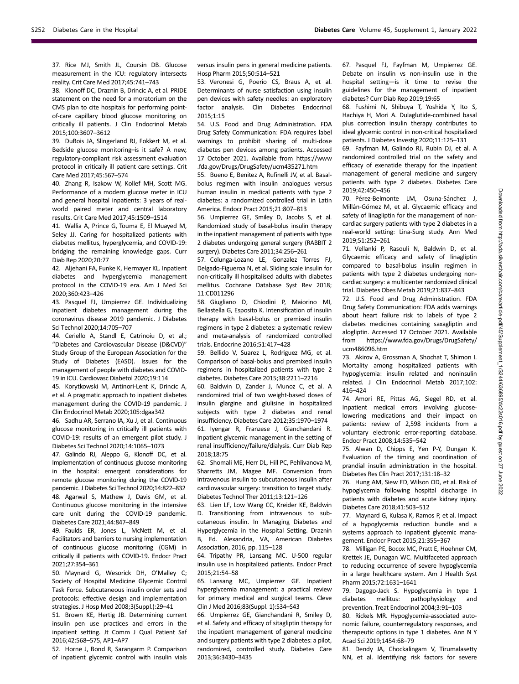37. Rice MJ, Smith JL, Coursin DB. Glucose measurement in the ICU: regulatory intersects reality. Crit Care Med 2017;45:741–743

38. Klonoff DC, Draznin B, Drincic A, et al. PRIDE statement on the need for a moratorium on the CMS plan to cite hospitals for performing pointof-care capillary blood glucose monitoring on critically ill patients. J Clin Endocrinol Metab 2015;100:3607–3612

39. DuBois JA, Slingerland RJ, Fokkert M, et al. Bedside glucose monitoring–is it safe? A new, regulatory-compliant risk assessment evaluation protocol in critically ill patient care settings. Crit Care Med 2017;45:567–574

40. Zhang R, Isakow W, Kollef MH, Scott MG. Performance of a modern glucose meter in ICU and general hospital inpatients: 3 years of realworld paired meter and central laboratory results. Crit Care Med 2017;45:1509–1514

41. Wallia A, Prince G, Touma E, El Muayed M, Seley JJ. Caring for hospitalized patients with diabetes mellitus, hyperglycemia, and COVID-19: bridging the remaining knowledge gaps. Curr Diab Rep 2020;20:77

42. Aljehani FA, Funke K, Hermayer KL. Inpatient diabetes and hyperglycemia management protocol in the COVID-19 era. Am J Med Sci 2020;360:423–426

43. Pasquel FJ, Umpierrez GE. Individualizing inpatient diabetes management during the coronavirus disease 2019 pandemic. J Diabetes Sci Technol 2020;14:705–707

44. Ceriello A, Standl E, Catrinoiu D, et al.; "Diabetes and Cardiovascular Disease (D&CVD)" Study Group of the European Association for the Study of Diabetes (EASD). Issues for the management of people with diabetes and COVID-19 in ICU. Cardiovasc Diabetol 2020;19:114

45. Korytkowski M, Antinori-Lent K, Drincic A, et al. A pragmatic approach to inpatient diabetes management during the COVID-19 pandemic. J Clin Endocrinol Metab 2020;105:dgaa342

46. Sadhu AR, Serrano IA, Xu J, et al. Continuous glucose monitoring in critically ill patients with COVID-19: results of an emergent pilot study. J Diabetes Sci Technol 2020;14:1065–1073

47. Galindo RJ, Aleppo G, Klonoff DC, et al. Implementation of continuous glucose monitoring in the hospital: emergent considerations for remote glucose monitoring during the COVID-19 pandemic. J Diabetes Sci Technol 2020;14:822–832 48. Agarwal S, Mathew J, Davis GM, et al. Continuous glucose monitoring in the intensive care unit during the COVID-19 pandemic. Diabetes Care 2021;44:847–849

49. Faulds ER, Jones L, McNett M, et al. Facilitators and barriers to nursing implementation of continuous glucose monitoring (CGM) in critically ill patients with COVID-19. Endocr Pract 2021;27:354–361

50. Maynard G, Wesorick DH, O'Malley C; Society of Hospital Medicine Glycemic Control Task Force. Subcutaneous insulin order sets and protocols: effective design and implementation strategies. J Hosp Med 2008;3(Suppl.):29–41

51. Brown KE, Hertig JB. Determining current insulin pen use practices and errors in the inpatient setting. Jt Comm J Qual Patient Saf 2016;42:568–575, AP1–AP7

52. Horne J, Bond R, Sarangarm P. Comparison of inpatient glycemic control with insulin vials versus insulin pens in general medicine patients. Hosp Pharm 2015;50:514–521

53. Veronesi G, Poerio CS, Braus A, et al. Determinants of nurse satisfaction using insulin pen devices with safety needles: an exploratory factor analysis. Clin Diabetes Endocrinol 2015;1:15

54. U.S. Food and Drug Administration. FDA Drug Safety Communication: FDA requires label warnings to prohibit sharing of multi-dose diabetes pen devices among patients. Accessed 17 October 2021. Available from [https://www](https://www.fda.gov/Drugs/DrugSafety/ucm435271.htm) [.fda.gov/Drugs/DrugSafety/ucm435271.htm](https://www.fda.gov/Drugs/DrugSafety/ucm435271.htm)

55. Bueno E, Benitez A, Rufinelli JV, et al. Basalbolus regimen with insulin analogues versus human insulin in medical patients with type 2 diabetes: a randomized controlled trial in Latin America. Endocr Pract 2015;21:807–813

56. Umpierrez GE, Smiley D, Jacobs S, et al. Randomized study of basal-bolus insulin therapy in the inpatient management of patients with type 2 diabetes undergoing general surgery (RABBIT 2 surgery). Diabetes Care 2011;34:256–261

57. Colunga-Lozano LE, Gonzalez Torres FJ, Delgado-Figueroa N, et al. Sliding scale insulin for non-critically ill hospitalised adults with diabetes mellitus. Cochrane Database Syst Rev 2018; 11:CD011296

58. Giugliano D, Chiodini P, Maiorino MI, Bellastella G, Esposito K. Intensification of insulin therapy with basal-bolus or premixed insulin regimens in type 2 diabetes: a systematic review and meta-analysis of randomized controlled trials. Endocrine 2016;51:417–428

59. Bellido V, Suarez L, Rodriguez MG, et al. Comparison of basal-bolus and premixed insulin regimens in hospitalized patients with type 2 diabetes. Diabetes Care 2015;38:2211–2216

60. Baldwin D, Zander J, Munoz C, et al. A randomized trial of two weight-based doses of insulin glargine and glulisine in hospitalized subjects with type 2 diabetes and renal insufficiency. Diabetes Care 2012;35:1970–1974 61. Iyengar R, Franzese J, Gianchandani R. Inpatient glycemic management in the setting of renal insufficiency/failure/dialysis. Curr Diab Rep 2018;18:75

62. Shomali ME, Herr DL, Hill PC, Pehlivanova M, Sharretts JM, Magee MF. Conversion from intravenous insulin to subcutaneous insulin after cardiovascular surgery: transition to target study. Diabetes Technol Ther 2011;13:121–126

63. Lien LF, Low Wang CC, Kreider KE, Baldwin D. Transitioning from intravenous to subcutaneous insulin. In Managing Diabetes and Hyperglycemia in the Hospital Setting. Draznin B, Ed. Alexandria, VA, American Diabetes Association, 2016, pp. 115–128

64. Tripathy PR, Lansang MC. U-500 regular insulin use in hospitalized patients. Endocr Pract 2015;21:54–58

65. Lansang MC, Umpierrez GE. Inpatient hyperglycemia management: a practical review for primary medical and surgical teams. Cleve Clin J Med 2016;83(Suppl. 1):S34–S43

66. Umpierrez GE, Gianchandani R, Smiley D, et al. Safety and efficacy of sitagliptin therapy for the inpatient management of general medicine and surgery patients with type 2 diabetes: a pilot, randomized, controlled study. Diabetes Care 2013;36:3430–3435

67. Pasquel FJ, Fayfman M, Umpierrez GE. Debate on insulin vs non-insulin use in the hospital setting—is it time to revise the guidelines for the management of inpatient diabetes? Curr Diab Rep 2019;19:65

68. Fushimi N, Shibuya T, Yoshida Y, Ito S, Hachiya H, Mori A. Dulaglutide-combined basal plus correction insulin therapy contributes to ideal glycemic control in non-critical hospitalized patients. J Diabetes Investig 2020;11:125–131

69. Fayfman M, Galindo RJ, Rubin DJ, et al. A randomized controlled trial on the safety and efficacy of exenatide therapy for the inpatient management of general medicine and surgery patients with type 2 diabetes. Diabetes Care 2019;42:450–456

70. Pérez-Belmonte LM, Osuna-Sánchez J, Millán-Gómez M, et al. Glycaemic efficacy and safety of linagliptin for the management of noncardiac surgery patients with type 2 diabetes in a real-world setting: Lina-Surg study. Ann Med 2019;51:252–261

71. Vellanki P, Rasouli N, Baldwin D, et al. Glycaemic efficacy and safety of linagliptin compared to basal-bolus insulin regimen in patients with type 2 diabetes undergoing noncardiac surgery: a multicenter randomized clinical trial. Diabetes Obes Metab 2019;21:837–843

72. U.S. Food and Drug Administration. FDA Drug Safety Communication: FDA adds warnings about heart failure risk to labels of type 2 diabetes medicines containing saxagliptin and alogliptin. Accessed 17 October 2021. Available from [https://www.fda.gov/Drugs/DrugSafety/](https://www.fda.gov/Drugs/DrugSafety/ucm486096.htm) [ucm486096.htm](https://www.fda.gov/Drugs/DrugSafety/ucm486096.htm)

73. Akirov A, Grossman A, Shochat T, Shimon I. Mortality among hospitalized patients with hypoglycemia: insulin related and noninsulin related. J Clin Endocrinol Metab 2017;102: 416–424

74. Amori RE, Pittas AG, Siegel RD, et al. Inpatient medical errors involving glucoselowering medications and their impact on patients: review of 2,598 incidents from a voluntary electronic error-reporting database. Endocr Pract 2008;14:535–542

75. Alwan D, Chipps E, Yen P-Y, Dungan K. Evaluation of the timing and coordination of prandial insulin administration in the hospital. Diabetes Res Clin Pract 2017;131:18–32

76. Hung AM, Siew ED, Wilson OD, et al. Risk of hypoglycemia following hospital discharge in patients with diabetes and acute kidney injury. Diabetes Care 2018;41:503–512

77. Maynard G, Kulasa K, Ramos P, et al. Impact of a hypoglycemia reduction bundle and a systems approach to inpatient glycemic management. Endocr Pract 2015;21:355–367

78. Milligan PE, Bocox MC, Pratt E, Hoehner CM, Krettek JE, Dunagan WC. Multifaceted approach to reducing occurrence of severe hypoglycemia in a large healthcare system. Am J Health Syst Pharm 2015;72:1631–1641

79. Dagogo-Jack S. Hypoglycemia in type 1 diabetes mellitus: pathophysiology and prevention. Treat Endocrinol 2004;3:91–103

80. Rickels MR. Hypoglycemia-associated autonomic failure, counterregulatory responses, and therapeutic options in type 1 diabetes. Ann N Y Acad Sci 2019;1454:68–79

81. Dendy JA, Chockalingam V, Tirumalasetty NN, et al. Identifying risk factors for severe